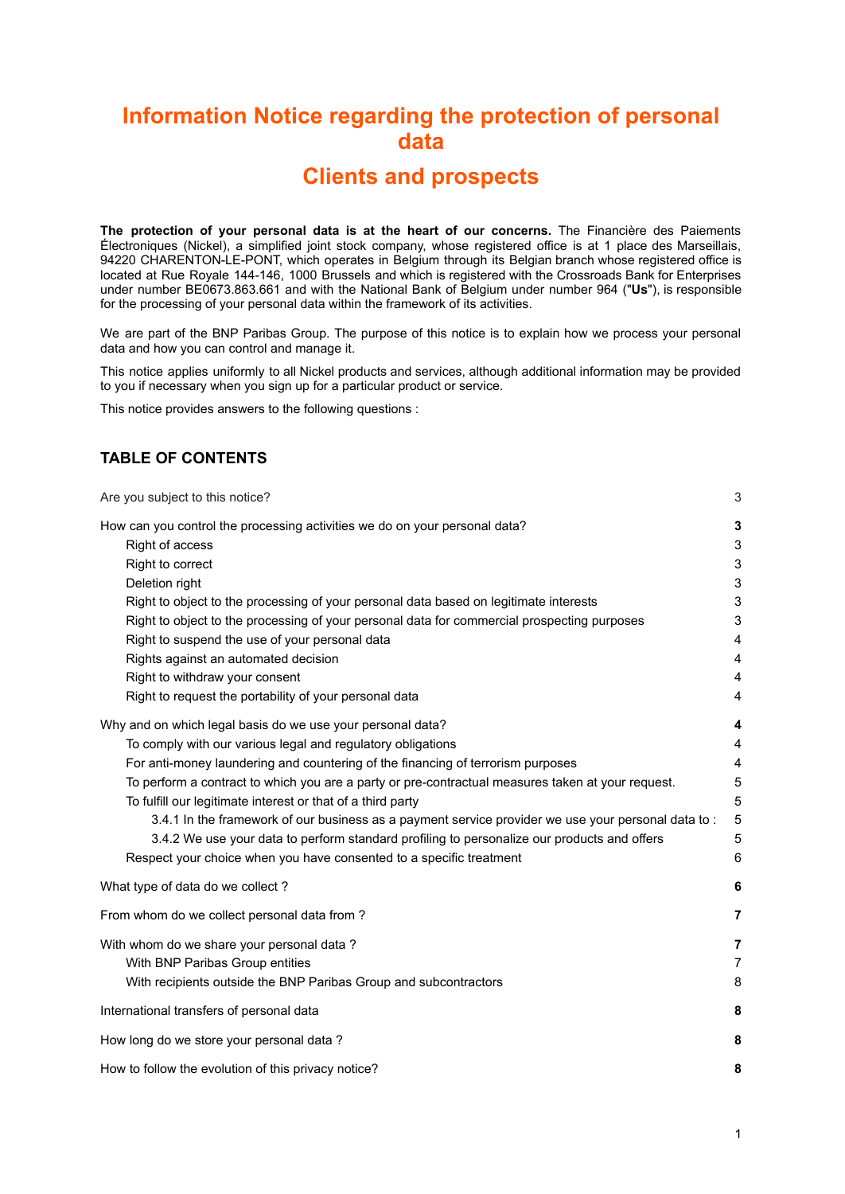# **Information Notice regarding the protection of personal data**

## **Clients and prospects**

**The protection of your personal data is at the heart of our concerns.** The Financière des Paiements Électroniques (Nickel), a simplified joint stock company, whose registered office is at 1 place des Marseillais, 94220 CHARENTON-LE-PONT, which operates in Belgium through its Belgian branch whose registered office is located at Rue Royale 144-146, 1000 Brussels and which is registered with the Crossroads Bank for Enterprises under number BE0673.863.661 and with the National Bank of Belgium under number 964 ("**Us**"), is responsible for the processing of your personal data within the framework of its activities.

We are part of the BNP Paribas Group. The purpose of this notice is to explain how we process your personal data and how you can control and manage it.

This notice applies uniformly to all Nickel products and services, although additional information may be provided to you if necessary when you sign up for a particular product or service.

This notice provides answers to the following questions :

## **TABLE OF CONTENTS**

| Are you subject to this notice?                                                                                                                                                                                                                                                                                                                                                                                                                                                                                                                                                                                                                              | 3                                                           |
|--------------------------------------------------------------------------------------------------------------------------------------------------------------------------------------------------------------------------------------------------------------------------------------------------------------------------------------------------------------------------------------------------------------------------------------------------------------------------------------------------------------------------------------------------------------------------------------------------------------------------------------------------------------|-------------------------------------------------------------|
| How can you control the processing activities we do on your personal data?<br>Right of access<br>Right to correct<br>Deletion right<br>Right to object to the processing of your personal data based on legitimate interests<br>Right to object to the processing of your personal data for commercial prospecting purposes<br>Right to suspend the use of your personal data<br>Rights against an automated decision<br>Right to withdraw your consent<br>Right to request the portability of your personal data                                                                                                                                            | 3<br>3<br>3<br>3<br>3<br>3<br>4<br>4<br>4<br>$\overline{4}$ |
| Why and on which legal basis do we use your personal data?<br>To comply with our various legal and regulatory obligations<br>For anti-money laundering and countering of the financing of terrorism purposes<br>To perform a contract to which you are a party or pre-contractual measures taken at your request.<br>To fulfill our legitimate interest or that of a third party<br>3.4.1 In the framework of our business as a payment service provider we use your personal data to:<br>3.4.2 We use your data to perform standard profiling to personalize our products and offers<br>Respect your choice when you have consented to a specific treatment | $\overline{\mathbf{4}}$<br>4<br>4<br>5<br>5<br>5<br>5<br>6  |
| What type of data do we collect?                                                                                                                                                                                                                                                                                                                                                                                                                                                                                                                                                                                                                             | 6                                                           |
| From whom do we collect personal data from?                                                                                                                                                                                                                                                                                                                                                                                                                                                                                                                                                                                                                  | $\overline{7}$                                              |
| With whom do we share your personal data?<br>With BNP Paribas Group entities<br>With recipients outside the BNP Paribas Group and subcontractors                                                                                                                                                                                                                                                                                                                                                                                                                                                                                                             | $\overline{7}$<br>$\overline{7}$<br>8                       |
| International transfers of personal data                                                                                                                                                                                                                                                                                                                                                                                                                                                                                                                                                                                                                     | 8                                                           |
| How long do we store your personal data?                                                                                                                                                                                                                                                                                                                                                                                                                                                                                                                                                                                                                     | 8                                                           |
| How to follow the evolution of this privacy notice?                                                                                                                                                                                                                                                                                                                                                                                                                                                                                                                                                                                                          | 8                                                           |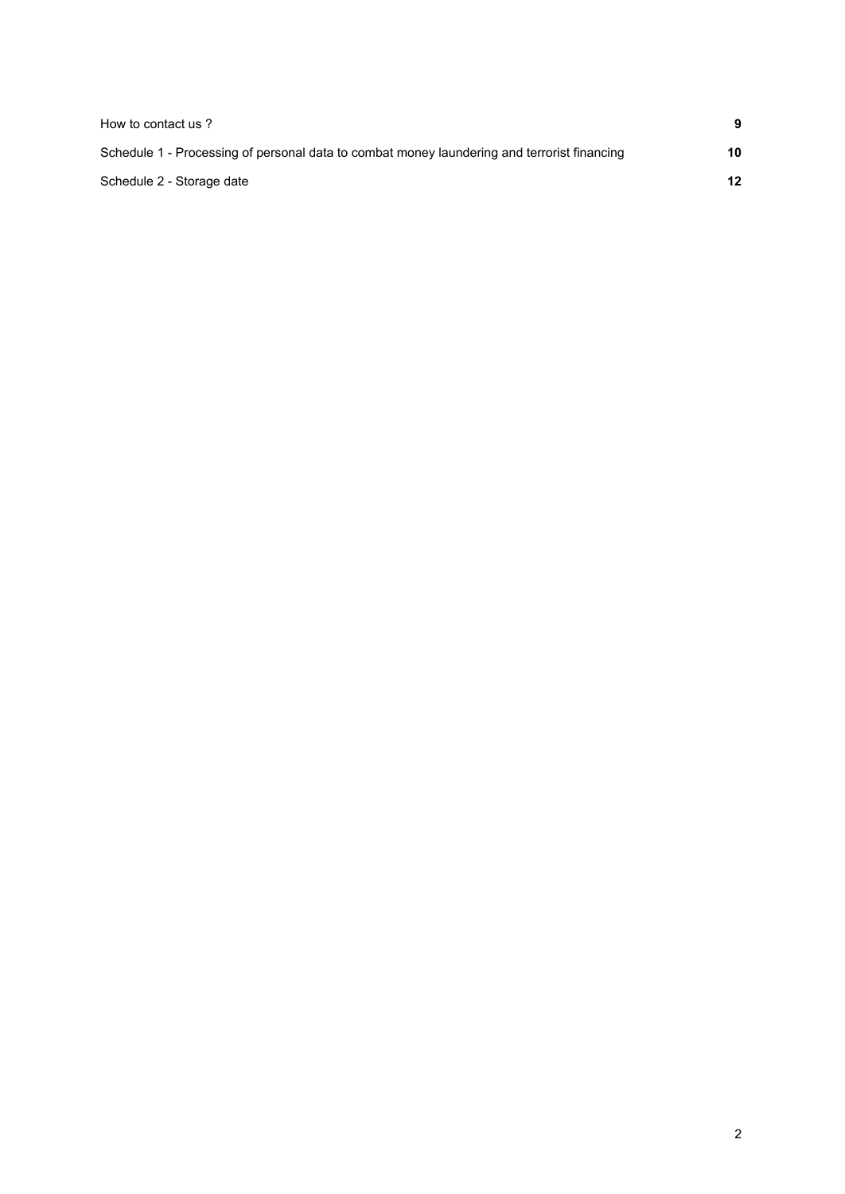| How to contact us?                                                                          | 9  |
|---------------------------------------------------------------------------------------------|----|
| Schedule 1 - Processing of personal data to combat money laundering and terrorist financing | 10 |
| Schedule 2 - Storage date                                                                   | 12 |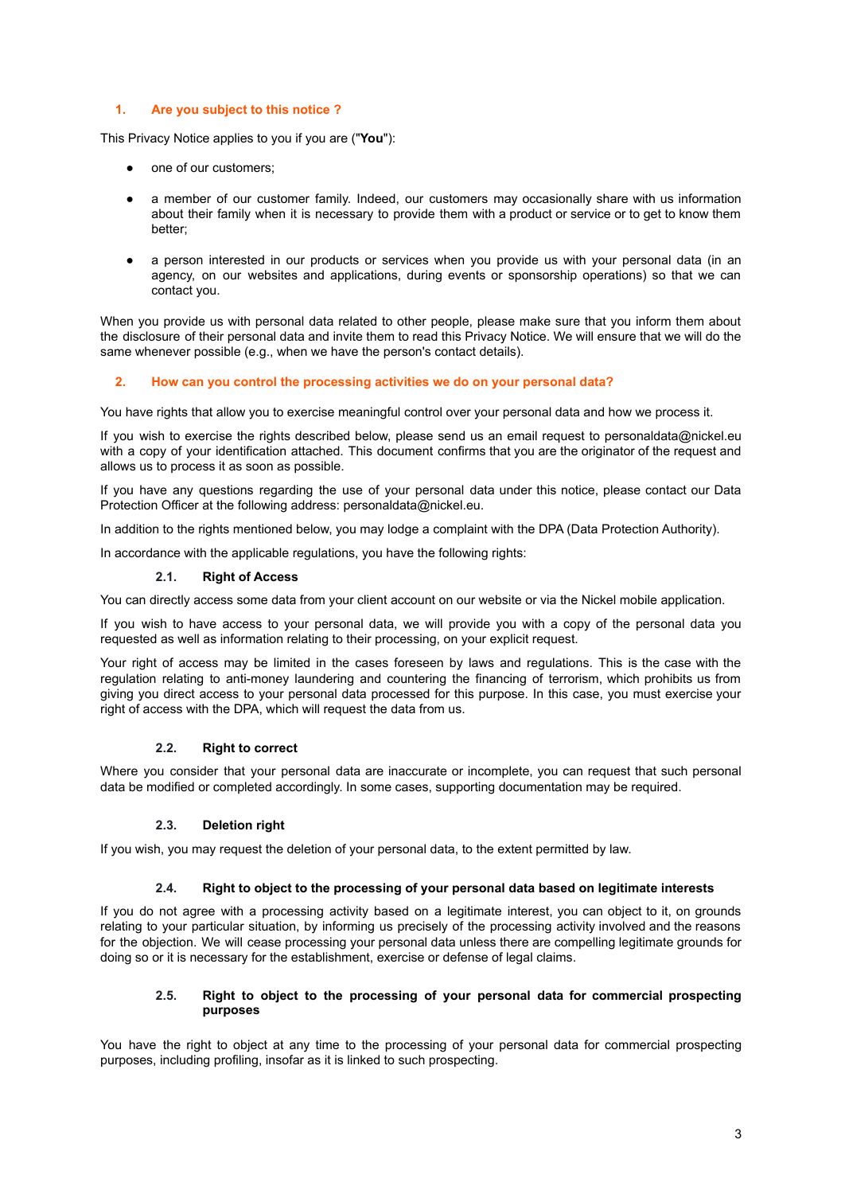## <span id="page-2-0"></span>**1. Are you subject to this notice ?**

This Privacy Notice applies to you if you are ("**You**"):

- one of our customers;
- a member of our customer family. Indeed, our customers may occasionally share with us information about their family when it is necessary to provide them with a product or service or to get to know them better;
- a person interested in our products or services when you provide us with your personal data (in an agency, on our websites and applications, during events or sponsorship operations) so that we can contact you.

When you provide us with personal data related to other people, please make sure that you inform them about the disclosure of their personal data and invite them to read this Privacy Notice. We will ensure that we will do the same whenever possible (e.g., when we have the person's contact details).

## **2. How can you control the processing activities we do on your personal data?**

You have rights that allow you to exercise meaningful control over your personal data and how we process it.

If you wish to exercise the rights described below, please send us an email request to personaldata@nickel.eu with a copy of your identification attached. This document confirms that you are the originator of the request and allows us to process it as soon as possible.

If you have any questions regarding the use of your personal data under this notice, please contact our Data Protection Officer at the following address: personaldata@nickel.eu.

In addition to the rights mentioned below, you may lodge a complaint with the DPA (Data Protection Authority).

<span id="page-2-1"></span>In accordance with the applicable regulations, you have the following rights:

#### **2.1. Right of Access**

You can directly access some data from your client account on our website or via the Nickel mobile application.

If you wish to have access to your personal data, we will provide you with a copy of the personal data you requested as well as information relating to their processing, on your explicit request.

Your right of access may be limited in the cases foreseen by laws and regulations. This is the case with the regulation relating to anti-money laundering and countering the financing of terrorism, which prohibits us from giving you direct access to your personal data processed for this purpose. In this case, you must exercise your right of access with the DPA, which will request the data from us.

#### **2.2. Right to correct**

<span id="page-2-2"></span>Where you consider that your personal data are inaccurate or incomplete, you can request that such personal data be modified or completed accordingly. In some cases, supporting documentation may be required.

#### **2.3. Deletion right**

<span id="page-2-3"></span>If you wish, you may request the deletion of your personal data, to the extent permitted by law.

#### **2.4. Right to object to the processing of your personal data based on legitimate interests**

<span id="page-2-4"></span>If you do not agree with a processing activity based on a legitimate interest, you can object to it, on grounds relating to your particular situation, by informing us precisely of the processing activity involved and the reasons for the objection. We will cease processing your personal data unless there are compelling legitimate grounds for doing so or it is necessary for the establishment, exercise or defense of legal claims.

## **2.5. Right to object to the processing of your personal data for commercial prospecting purposes**

<span id="page-2-5"></span>You have the right to object at any time to the processing of your personal data for commercial prospecting purposes, including profiling, insofar as it is linked to such prospecting.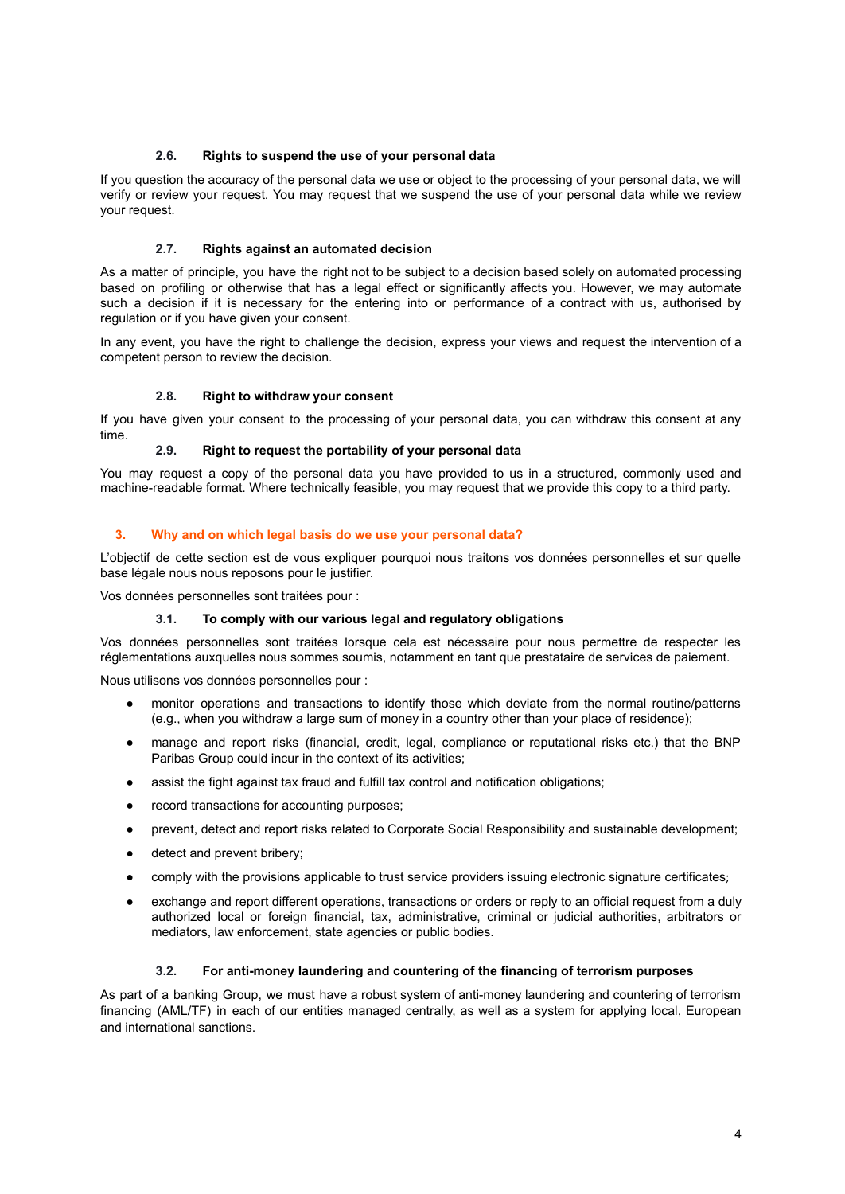## **2.6. Rights to suspend the use of your personal data**

<span id="page-3-0"></span>If you question the accuracy of the personal data we use or object to the processing of your personal data, we will verify or review your request. You may request that we suspend the use of your personal data while we review your request.

## **2.7. Rights against an automated decision**

<span id="page-3-1"></span>As a matter of principle, you have the right not to be subject to a decision based solely on automated processing based on profiling or otherwise that has a legal effect or significantly affects you. However, we may automate such a decision if it is necessary for the entering into or performance of a contract with us, authorised by regulation or if you have given your consent.

In any event, you have the right to challenge the decision, express your views and request the intervention of a competent person to review the decision.

#### **2.8. Right to withdraw your consent**

<span id="page-3-2"></span>If you have given your consent to the processing of your personal data, you can withdraw this consent at any time.

## **2.9. Right to request the portability of your personal data**

<span id="page-3-3"></span>You may request a copy of the personal data you have provided to us in a structured, commonly used and machine-readable format. Where technically feasible, you may request that we provide this copy to a third party.

#### <span id="page-3-4"></span>**3. Why and on which legal basis do we use your personal data?**

L'objectif de cette section est de vous expliquer pourquoi nous traitons vos données personnelles et sur quelle base légale nous nous reposons pour le justifier.

<span id="page-3-5"></span>Vos données personnelles sont traitées pour :

#### **3.1. To comply with our various legal and regulatory obligations**

Vos données personnelles sont traitées lorsque cela est nécessaire pour nous permettre de respecter les réglementations auxquelles nous sommes soumis, notamment en tant que prestataire de services de paiement.

Nous utilisons vos données personnelles pour :

- monitor operations and transactions to identify those which deviate from the normal routine/patterns (e.g., when you withdraw a large sum of money in a country other than your place of residence);
- manage and report risks (financial, credit, legal, compliance or reputational risks etc.) that the BNP Paribas Group could incur in the context of its activities;
- assist the fight against tax fraud and fulfill tax control and notification obligations;
- record transactions for accounting purposes;
- prevent, detect and report risks related to Corporate Social Responsibility and sustainable development;
- detect and prevent bribery;
- comply with the provisions applicable to trust service providers issuing electronic signature certificates;
- exchange and report different operations, transactions or orders or reply to an official request from a duly authorized local or foreign financial, tax, administrative, criminal or judicial authorities, arbitrators or mediators, law enforcement, state agencies or public bodies.

## **3.2. For anti-money laundering and countering of the financing of terrorism purposes**

<span id="page-3-6"></span>As part of a banking Group, we must have a robust system of anti-money laundering and countering of terrorism financing (AML/TF) in each of our entities managed centrally, as well as a system for applying local, European and international sanctions.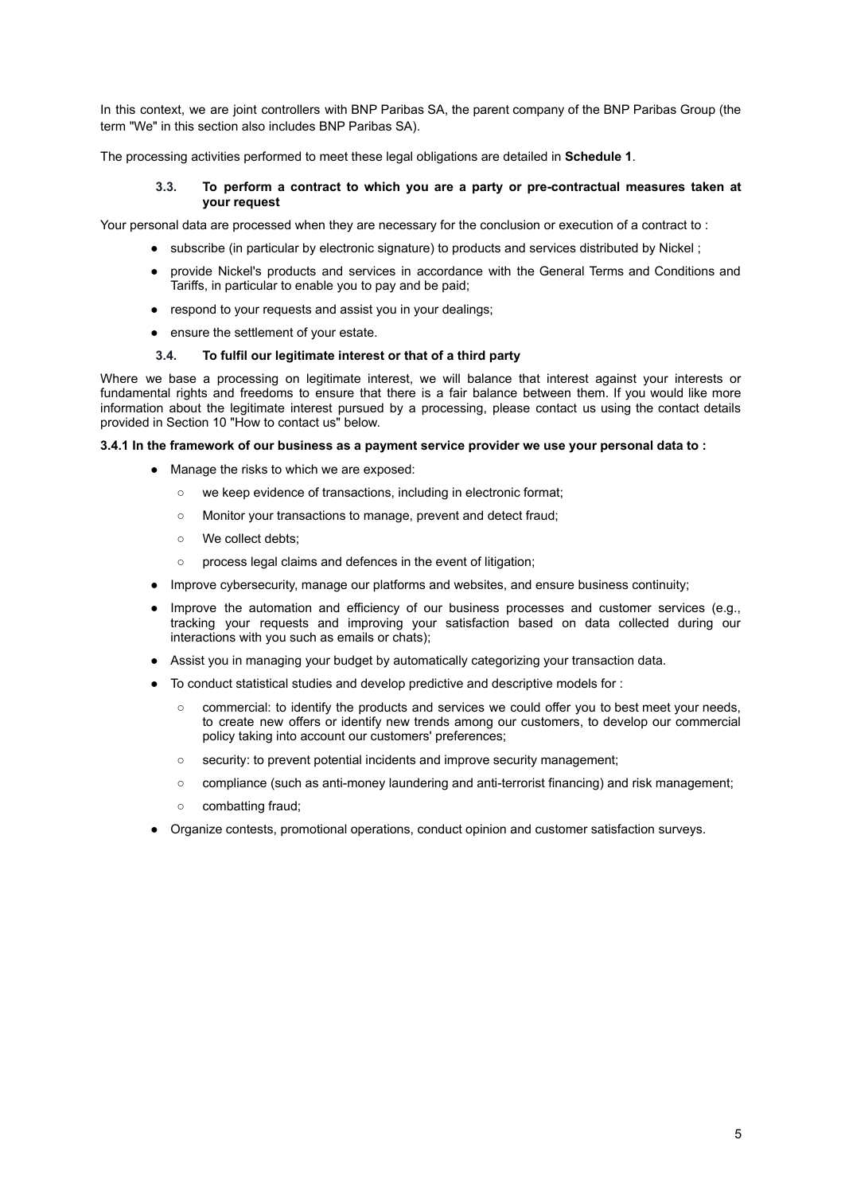In this context, we are joint controllers with BNP Paribas SA, the parent company of the BNP Paribas Group (the term "We" in this section also includes BNP Paribas SA).

The processing activities performed to meet these legal obligations are detailed in **Schedule 1**.

#### **3.3. To perform a contract to which you are a party or pre-contractual measures taken at your request**

<span id="page-4-0"></span>Your personal data are processed when they are necessary for the conclusion or execution of a contract to :

- subscribe (in particular by electronic signature) to products and services distributed by Nickel;
- provide Nickel's products and services in accordance with the General Terms and Conditions and Tariffs, in particular to enable you to pay and be paid;
- respond to your requests and assist you in your dealings;
- ensure the settlement of your estate.

## **3.4. To fulfil our legitimate interest or that of a third party**

<span id="page-4-1"></span>Where we base a processing on legitimate interest, we will balance that interest against your interests or fundamental rights and freedoms to ensure that there is a fair balance between them. If you would like more information about the legitimate interest pursued by a processing, please contact us using the contact details provided in Section 10 "How to contact us" below.

## <span id="page-4-2"></span>**3.4.1 In the framework of our business as a payment service provider we use your personal data to :**

- Manage the risks to which we are exposed:
	- we keep evidence of transactions, including in electronic format;
	- Monitor your transactions to manage, prevent and detect fraud;
	- We collect debts;
	- process legal claims and defences in the event of litigation;
- Improve cybersecurity, manage our platforms and websites, and ensure business continuity;
- Improve the automation and efficiency of our business processes and customer services (e.g., tracking your requests and improving your satisfaction based on data collected during our interactions with you such as emails or chats);
- Assist you in managing your budget by automatically categorizing your transaction data.
- To conduct statistical studies and develop predictive and descriptive models for :
	- commercial: to identify the products and services we could offer you to best meet your needs, to create new offers or identify new trends among our customers, to develop our commercial policy taking into account our customers' preferences;
	- security: to prevent potential incidents and improve security management;
	- compliance (such as anti-money laundering and anti-terrorist financing) and risk management;
	- combatting fraud;
- <span id="page-4-3"></span>● Organize contests, promotional operations, conduct opinion and customer satisfaction surveys.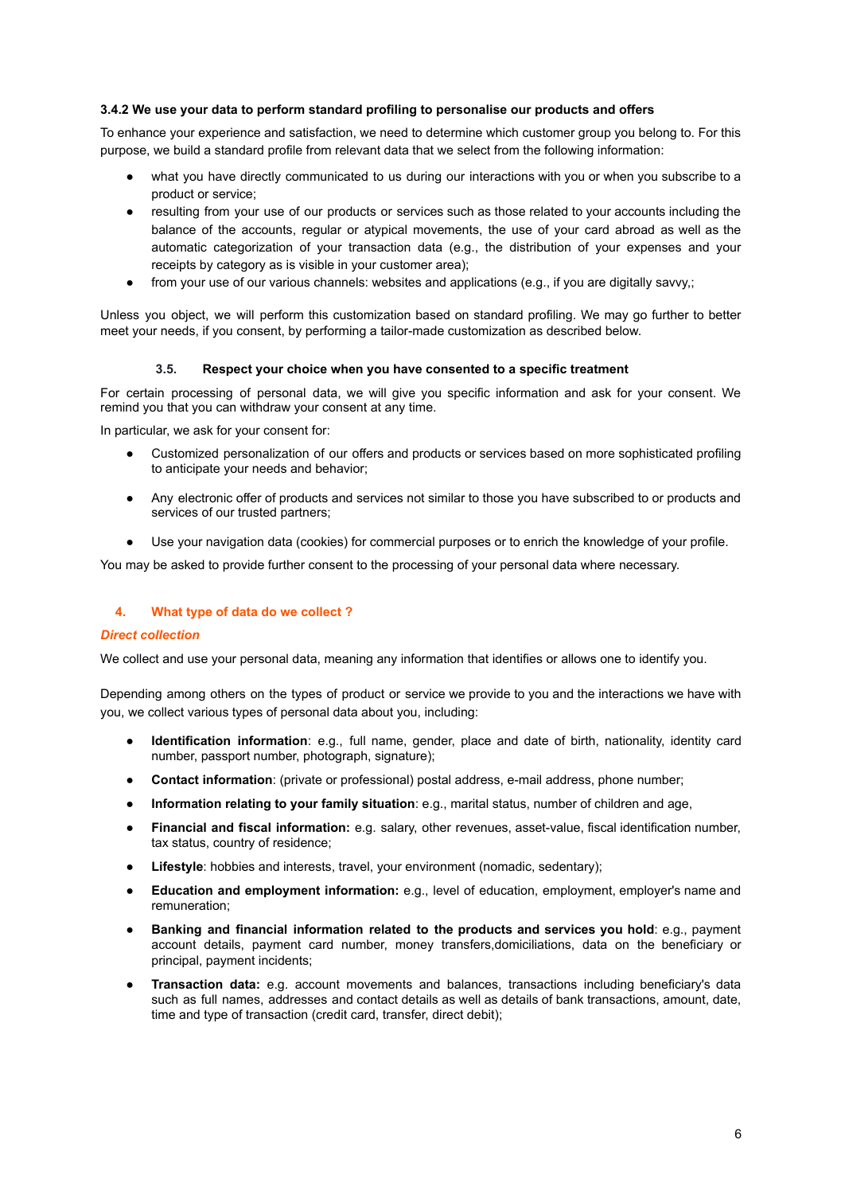## **3.4.2 We use your data to perform standard profiling to personalise our products and offers**

To enhance your experience and satisfaction, we need to determine which customer group you belong to. For this purpose, we build a standard profile from relevant data that we select from the following information:

- what you have directly communicated to us during our interactions with you or when you subscribe to a product or service;
- resulting from your use of our products or services such as those related to your accounts including the balance of the accounts, regular or atypical movements, the use of your card abroad as well as the automatic categorization of your transaction data (e.g., the distribution of your expenses and your receipts by category as is visible in your customer area);
- from your use of our various channels: websites and applications (e.g., if you are digitally savvy,;

Unless you object, we will perform this customization based on standard profiling. We may go further to better meet your needs, if you consent, by performing a tailor-made customization as described below.

## **3.5. Respect your choice when you have consented to a specific treatment**

<span id="page-5-0"></span>For certain processing of personal data, we will give you specific information and ask for your consent. We remind you that you can withdraw your consent at any time.

In particular, we ask for your consent for:

- Customized personalization of our offers and products or services based on more sophisticated profiling to anticipate your needs and behavior;
- Any electronic offer of products and services not similar to those you have subscribed to or products and services of our trusted partners;
- Use your navigation data (cookies) for commercial purposes or to enrich the knowledge of your profile.

You may be asked to provide further consent to the processing of your personal data where necessary.

## <span id="page-5-1"></span>**4. What type of data do we collect ?**

#### *Direct collection*

We collect and use your personal data, meaning any information that identifies or allows one to identify you.

Depending among others on the types of product or service we provide to you and the interactions we have with you, we collect various types of personal data about you, including:

- **Identification information**: e.g., full name, gender, place and date of birth, nationality, identity card number, passport number, photograph, signature);
- **Contact information**: (private or professional) postal address, e-mail address, phone number;
- **Information relating to your family situation**: e.g., marital status, number of children and age,
- **Financial and fiscal information:** e.g. salary, other revenues, asset-value, fiscal identification number, tax status, country of residence;
- **Lifestyle**: hobbies and interests, travel, your environment (nomadic, sedentary);
- **Education and employment information:** e.g., level of education, employment, employer's name and remuneration;
- **Banking and financial information related to the products and services you hold**: e.g., payment account details, payment card number, money transfers,domiciliations, data on the beneficiary or principal, payment incidents;
- **Transaction data:** e.g. account movements and balances, transactions including beneficiary's data such as full names, addresses and contact details as well as details of bank transactions, amount, date, time and type of transaction (credit card, transfer, direct debit);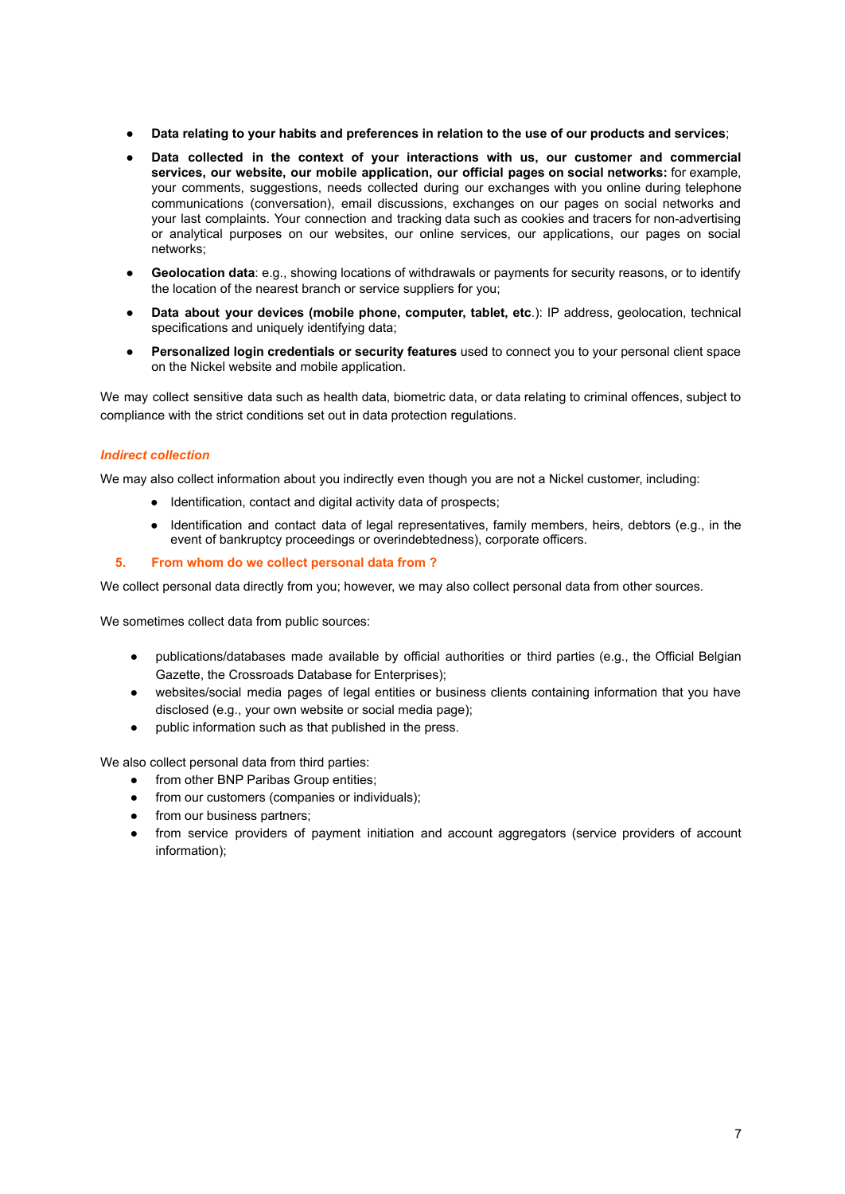- **Data relating to your habits and preferences in relation to the use of our products and services**;
- **Data collected in the context of your interactions with us, our customer and commercial services, our website, our mobile application, our official pages on social networks:** for example, your comments, suggestions, needs collected during our exchanges with you online during telephone communications (conversation), email discussions, exchanges on our pages on social networks and your last complaints. Your connection and tracking data such as cookies and tracers for non-advertising or analytical purposes on our websites, our online services, our applications, our pages on social networks;
- Geolocation data: e.g., showing locations of withdrawals or payments for security reasons, or to identify the location of the nearest branch or service suppliers for you;
- **Data about your devices (mobile phone, computer, tablet, etc**.): IP address, geolocation, technical specifications and uniquely identifying data;
- **Personalized login credentials or security features** used to connect you to your personal client space on the Nickel website and mobile application.

We may collect sensitive data such as health data, biometric data, or data relating to criminal offences, subject to compliance with the strict conditions set out in data protection regulations.

## *Indirect collection*

We may also collect information about you indirectly even though you are not a Nickel customer, including:

- Identification, contact and digital activity data of prospects;
- Identification and contact data of legal representatives, family members, heirs, debtors (e.g., in the event of bankruptcy proceedings or overindebtedness), corporate officers.
- <span id="page-6-0"></span>**5. From whom do we collect personal data from ?**

We collect personal data directly from you; however, we may also collect personal data from other sources.

We sometimes collect data from public sources:

- publications/databases made available by official authorities or third parties (e.g., the Official Belgian Gazette, the Crossroads Database for Enterprises);
- websites/social media pages of legal entities or business clients containing information that you have disclosed (e.g., your own website or social media page);
- public information such as that published in the press.

We also collect personal data from third parties:

- from other BNP Paribas Group entities;
- from our customers (companies or individuals);
- from our business partners;
- from service providers of payment initiation and account aggregators (service providers of account information);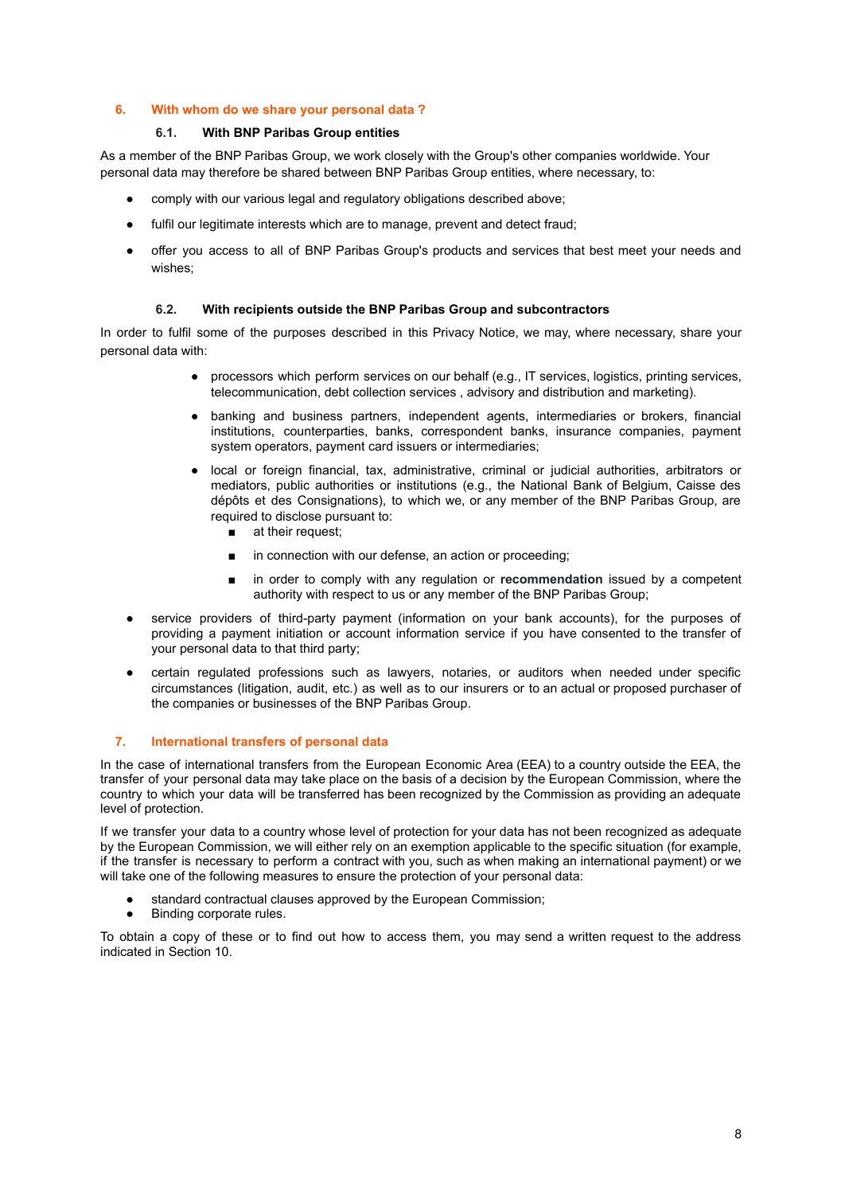## <span id="page-7-0"></span>**6. With whom do we share your personal data ?**

## **6.1. With BNP Paribas Group entities**

<span id="page-7-1"></span>As a member of the BNP Paribas Group, we work closely with the Group's other companies worldwide. Your personal data may therefore be shared between BNP Paribas Group entities, where necessary, to:

- comply with our various legal and regulatory obligations described above;
- fulfil our legitimate interests which are to manage, prevent and detect fraud;
- offer you access to all of BNP Paribas Group's products and services that best meet your needs and wishes;

## **6.2. With recipients outside the BNP Paribas Group and subcontractors**

<span id="page-7-2"></span>In order to fulfil some of the purposes described in this Privacy Notice, we may, where necessary, share your personal data with:

- processors which perform services on our behalf (e.g., IT services, logistics, printing services, telecommunication, debt collection services , advisory and distribution and marketing).
- banking and business partners, independent agents, intermediaries or brokers, financial institutions, counterparties, banks, correspondent banks, insurance companies, payment system operators, payment card issuers or intermediaries;
- local or foreign financial, tax, administrative, criminal or judicial authorities, arbitrators or mediators, public authorities or institutions (e.g., the National Bank of Belgium, Caisse des dépôts et des Consignations), to which we, or any member of the BNP Paribas Group, are required to disclose pursuant to:
	- at their request;
	- in connection with our defense, an action or proceeding;
	- in order to comply with any regulation or **recommendation** issued by a competent authority with respect to us or any member of the BNP Paribas Group;
- service providers of third-party payment (information on your bank accounts), for the purposes of providing a payment initiation or account information service if you have consented to the transfer of your personal data to that third party;
- certain regulated professions such as lawyers, notaries, or auditors when needed under specific circumstances (litigation, audit, etc.) as well as to our insurers or to an actual or proposed purchaser of the companies or businesses of the BNP Paribas Group.

#### <span id="page-7-3"></span>**7. International transfers of personal data**

In the case of international transfers from the European Economic Area (EEA) to a country outside the EEA, the transfer of your personal data may take place on the basis of a decision by the European Commission, where the country to which your data will be transferred has been recognized by the Commission as providing an adequate level of protection.

If we transfer your data to a country whose level of protection for your data has not been recognized as adequate by the European Commission, we will either rely on an exemption applicable to the specific situation (for example, if the transfer is necessary to perform a contract with you, such as when making an international payment) or we will take one of the following measures to ensure the protection of your personal data:

- standard contractual clauses approved by the European Commission;
- Binding corporate rules.

<span id="page-7-4"></span>To obtain a copy of these or to find out how to access them, you may send a written request to the address indicated in Section 10.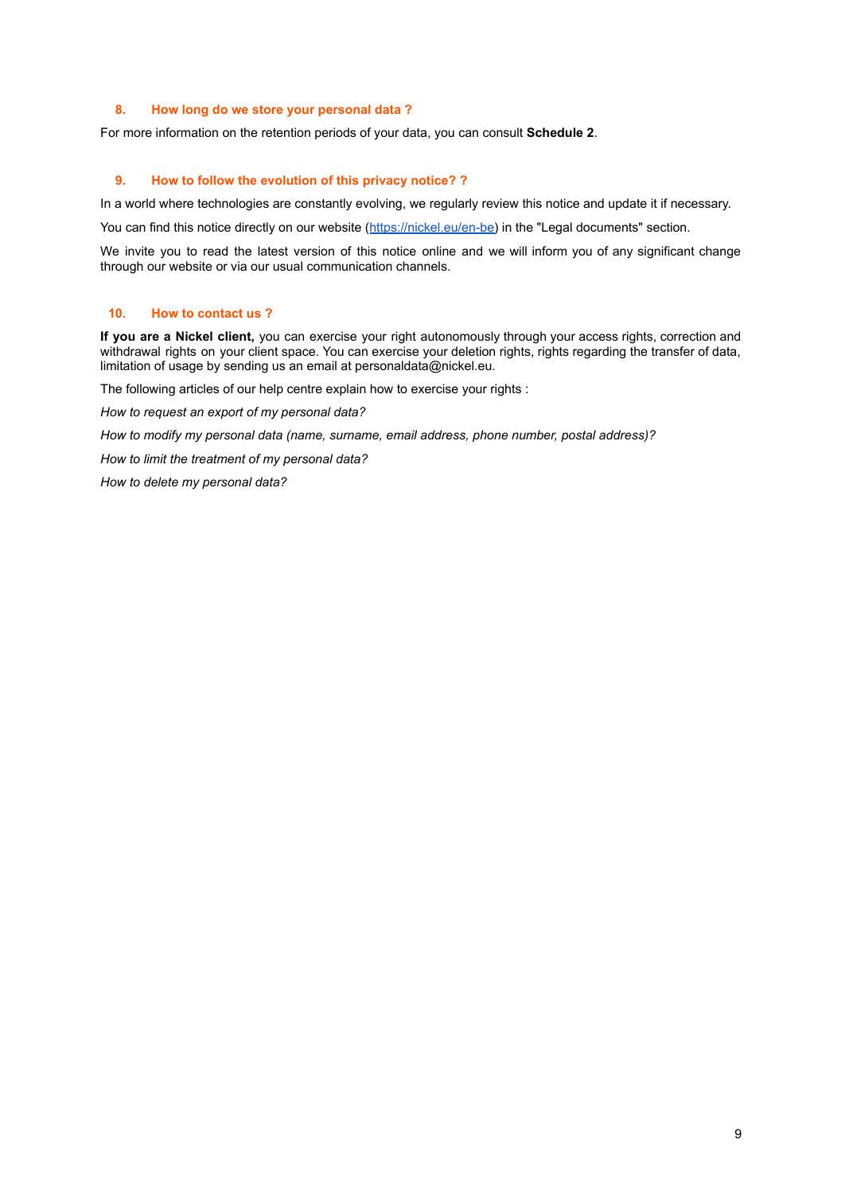## **8. How long do we store your personal data ?**

For more information on the retention periods of your data, you can consult **Schedule 2**.

## <span id="page-8-0"></span>**9. How to follow the evolution of this privacy notice? ?**

In a world where technologies are constantly evolving, we regularly review this notice and update it if necessary.

You can find this notice directly on our website ([https://nickel.eu/en-be\)](https://nickel.eu/en-be) in the "Legal documents" section.

We invite you to read the latest version of this notice online and we will inform you of any significant change through our website or via our usual communication channels.

## <span id="page-8-1"></span>**10. How to contact us ?**

**If you are a Nickel client,** you can exercise your right autonomously through your access rights, correction and withdrawal rights on your client space. You can exercise your deletion rights, rights regarding the transfer of data, limitation of usage by sending us an email at personaldata@nickel.eu.

The following articles of our help centre explain how to exercise your rights :

*How to request an export of my personal data?*

*How to modify my personal data (name, surname, email address, phone number, postal address)?*

*How to limit the treatment of my personal data?*

<span id="page-8-2"></span>*How to delete my personal data?*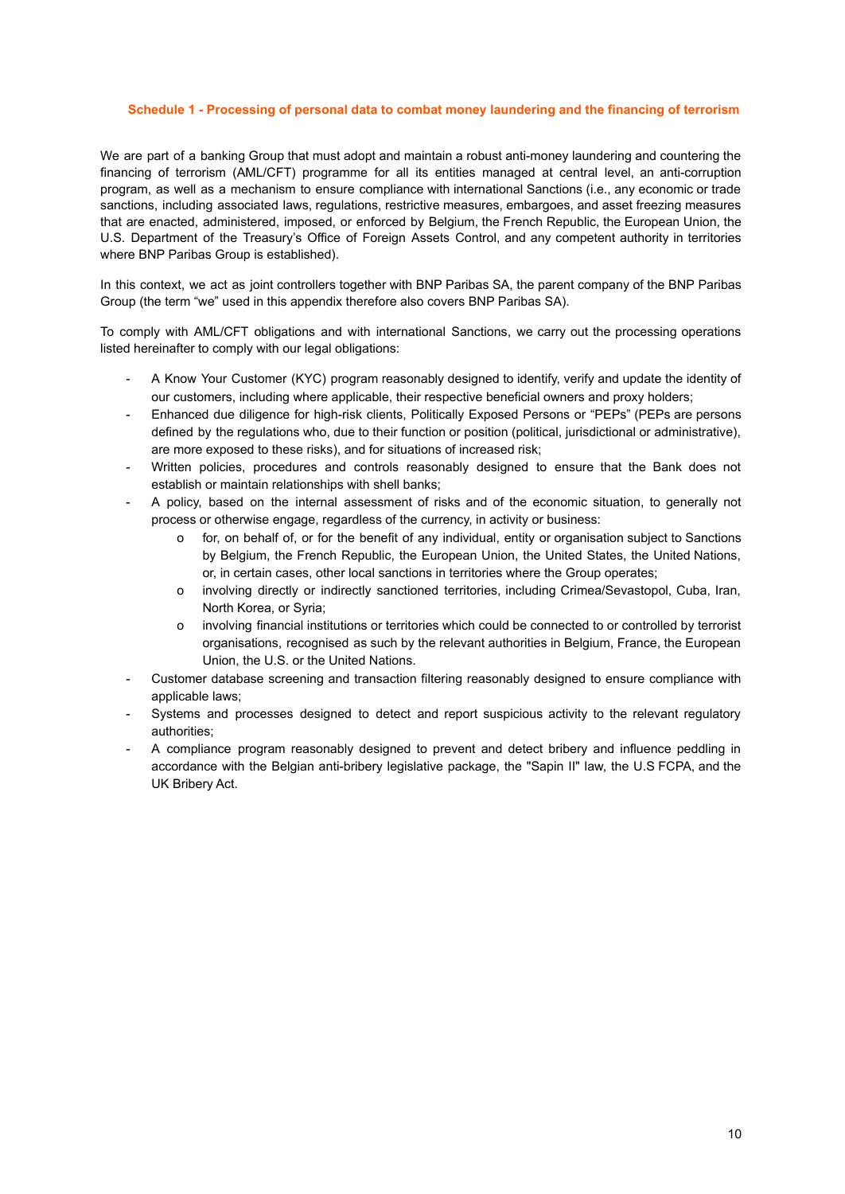#### **Schedule 1 - Processing of personal data to combat money laundering and the financing of terrorism**

We are part of a banking Group that must adopt and maintain a robust anti-money laundering and countering the financing of terrorism (AML/CFT) programme for all its entities managed at central level, an anti-corruption program, as well as a mechanism to ensure compliance with international Sanctions (i.e., any economic or trade sanctions, including associated laws, regulations, restrictive measures, embargoes, and asset freezing measures that are enacted, administered, imposed, or enforced by Belgium, the French Republic, the European Union, the U.S. Department of the Treasury's Office of Foreign Assets Control, and any competent authority in territories where BNP Paribas Group is established).

In this context, we act as joint controllers together with BNP Paribas SA, the parent company of the BNP Paribas Group (the term "we" used in this appendix therefore also covers BNP Paribas SA).

To comply with AML/CFT obligations and with international Sanctions, we carry out the processing operations listed hereinafter to comply with our legal obligations:

- A Know Your Customer (KYC) program reasonably designed to identify, verify and update the identity of our customers, including where applicable, their respective beneficial owners and proxy holders;
- Enhanced due diligence for high-risk clients, Politically Exposed Persons or "PEPs" (PEPs are persons defined by the regulations who, due to their function or position (political, jurisdictional or administrative), are more exposed to these risks), and for situations of increased risk;
- Written policies, procedures and controls reasonably designed to ensure that the Bank does not establish or maintain relationships with shell banks;
- A policy, based on the internal assessment of risks and of the economic situation, to generally not process or otherwise engage, regardless of the currency, in activity or business:
	- o for, on behalf of, or for the benefit of any individual, entity or organisation subject to Sanctions by Belgium, the French Republic, the European Union, the United States, the United Nations, or, in certain cases, other local sanctions in territories where the Group operates;
	- o involving directly or indirectly sanctioned territories, including Crimea/Sevastopol, Cuba, Iran, North Korea, or Syria;
	- o involving financial institutions or territories which could be connected to or controlled by terrorist organisations, recognised as such by the relevant authorities in Belgium, France, the European Union, the U.S. or the United Nations.
- Customer database screening and transaction filtering reasonably designed to ensure compliance with applicable laws;
- Systems and processes designed to detect and report suspicious activity to the relevant regulatory authorities;
- A compliance program reasonably designed to prevent and detect bribery and influence peddling in accordance with the Belgian anti-bribery legislative package, the "Sapin II" law, the U.S FCPA, and the UK Bribery Act.